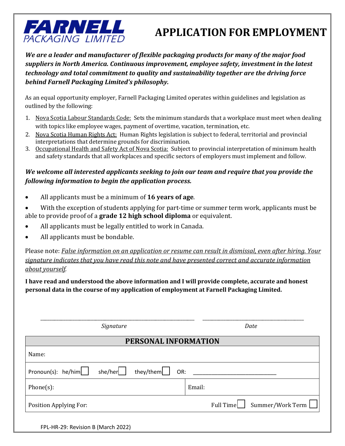

## **APPLICATION FOR EMPLOYMENT**

*We are a leader and manufacturer of flexible packaging products for many of the major food suppliers in North America. Continuous improvement, employee safety, investment in the latest technology and total commitment to quality and sustainability together are the driving force behind Farnell Packaging Limited's philosophy.*

As an equal opportunity employer, Farnell Packaging Limited operates within guidelines and legislation as outlined by the following:

- 1. Nova Scotia Labour Standards Code: Sets the minimum standards that a workplace must meet when dealing with topics like employee wages, payment of overtime, vacation, termination, etc.
- 2. Nova Scotia Human Rights Act: Human Rights legislation is subject to federal, territorial and provincial interpretations that determine grounds for discrimination.
- 3. Occupational Health and Safety Act of Nova Scotia: Subject to provincial interpretation of minimum health and safety standards that all workplaces and specific sectors of employers must implement and follow.

## *We welcome all interested applicants seeking to join our team and require that you provide the following information to begin the application process.*

- All applicants must be a minimum of **16 years of age**.
- With the exception of students applying for part-time or summer term work, applicants must be able to provide proof of a **grade 12 high school diploma** or equivalent.
- All applicants must be legally entitled to work in Canada.
- All applicants must be bondable.

Please note: *False information on an application or resume can result in dismissal, even after hiring. Your signature indicates that you have read this note and have presented correct and accurate information about yourself.* 

**I have read and understood the above information and I will provide complete, accurate and honest personal data in the course of my application of employment at Farnell Packaging Limited.**

| Signature                                                                   | Date                          |  |  |  |
|-----------------------------------------------------------------------------|-------------------------------|--|--|--|
| PERSONAL INFORMATION                                                        |                               |  |  |  |
| Name:                                                                       |                               |  |  |  |
| she/her $\left  \right $ they/them $\left  \right $<br>$Pronoun(s):$ he/him | OR:                           |  |  |  |
| $Phone(s)$ :                                                                | Email:                        |  |  |  |
| Position Applying For:                                                      | Summer/Work Term<br>Full Time |  |  |  |
|                                                                             |                               |  |  |  |

FPL-HR-29: Revision B (March 2022)